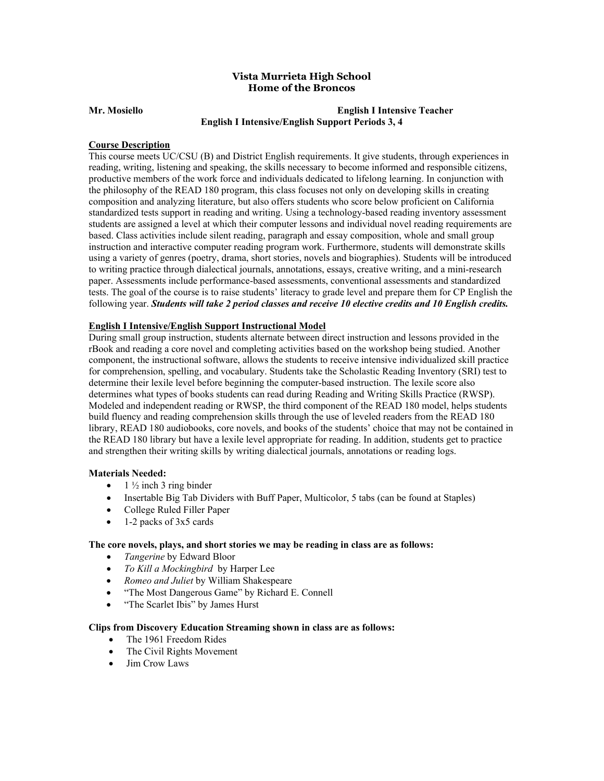# **Home of the Broncos Vista Murrieta High School**

## **English I Intensive/English Support Periods 3, 4 Mr. Mosiello English I Intensive Teacher**

## **Course Description**

 This course meets UC/CSU (B) and District English requirements. It give students, through experiences in reading, writing, listening and speaking, the skills necessary to become informed and responsible citizens, productive members of the work force and individuals dedicated to lifelong learning. In conjunction with the philosophy of the READ 180 program, this class focuses not only on developing skills in creating composition and analyzing literature, but also offers students who score below proficient on California standardized tests support in reading and writing. Using a technology-based reading inventory assessment students are assigned a level at which their computer lessons and individual novel reading requirements are based. Class activities include silent reading, paragraph and essay composition, whole and small group instruction and interactive computer reading program work. Furthermore, students will demonstrate skills using a variety of genres (poetry, drama, short stories, novels and biographies). Students will be introduced to writing practice through dialectical journals, annotations, essays, creative writing, and a mini-research paper. Assessments include performance-based assessments, conventional assessments and standardized tests. The goal of the course is to raise students' literacy to grade level and prepare them for CP English the following year. *Students will take 2 period classes and receive 10 elective credits and 10 English credits.* 

# **English I Intensive/English Support Instructional Model**

 During small group instruction, students alternate between direct instruction and lessons provided in the rBook and reading a core novel and completing activities based on the workshop being studied. Another component, the instructional software, allows the students to receive intensive individualized skill practice for comprehension, spelling, and vocabulary. Students take the Scholastic Reading Inventory (SRI) test to determine their lexile level before beginning the computer-based instruction. The lexile score also determines what types of books students can read during Reading and Writing Skills Practice (RWSP). Modeled and independent reading or RWSP, the third component of the READ 180 model, helps students build fluency and reading comprehension skills through the use of leveled readers from the READ 180 library, READ 180 audiobooks, core novels, and books of the students' choice that may not be contained in the READ 180 library but have a lexile level appropriate for reading. In addition, students get to practice and strengthen their writing skills by writing dialectical journals, annotations or reading logs.

#### **Materials Needed:**

- $\bullet$  1  $\frac{1}{2}$  inch 3 ring binder
- Insertable Big Tab Dividers with Buff Paper, Multicolor, 5 tabs (can be found at Staples)
- College Ruled Filler Paper
- 1-2 packs of 3x5 cards

## **The core novels, plays, and short stories we may be reading in class are as follows:**

- *Tangerine* by Edward Bloor
- *To Kill a Mockingbird* by Harper Lee
- *Romeo and Juliet* by William Shakespeare
- "The Most Dangerous Game" by Richard E. Connell
- "The Scarlet Ibis" by James Hurst

#### **Clips from Discovery Education Streaming shown in class are as follows:**

- The 1961 Freedom Rides
- The Civil Rights Movement
- Jim Crow Laws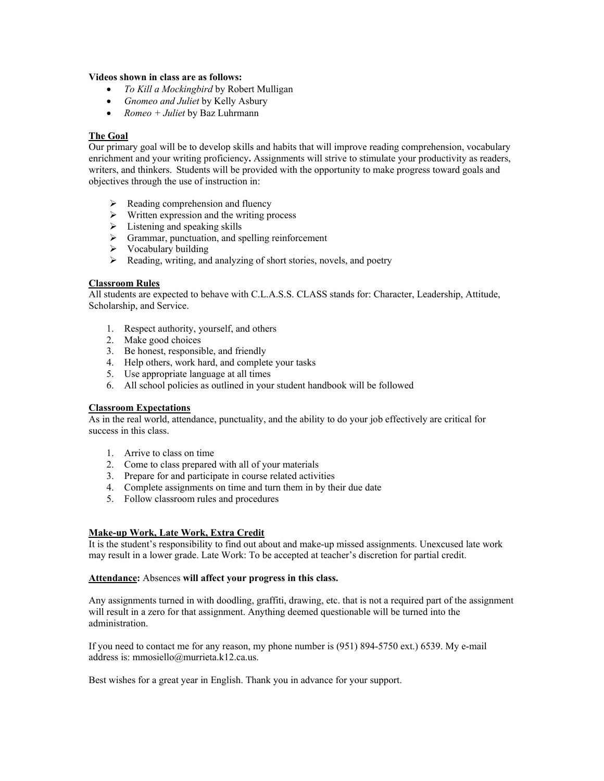## **Videos shown in class are as follows:**

- *To Kill a Mockingbird* by Robert Mulligan
- *Gnomeo and Juliet* by Kelly Asbury
- *Romeo + Juliet* by Baz Luhrmann

# **The Goal**

 Our primary goal will be to develop skills and habits that will improve reading comprehension, vocabulary enrichment and your writing proficiency**.** Assignments will strive to stimulate your productivity as readers, writers, and thinkers. Students will be provided with the opportunity to make progress toward goals and objectives through the use of instruction in:

- $\triangleright$  Reading comprehension and fluency
- $\triangleright$  Written expression and the writing process
- $\triangleright$  Listening and speaking skills
- Grammar, punctuation, and spelling reinforcement
- $\triangleright$  Vocabulary building
- $\triangleright$  Reading, writing, and analyzing of short stories, novels, and poetry

## **Classroom Rules**

 All students are expected to behave with C.L.A.S.S. CLASS stands for: Character, Leadership, Attitude, Scholarship, and Service.

- 1. Respect authority, yourself, and others
- 2. Make good choices
- 3. Be honest, responsible, and friendly
- 4. Help others, work hard, and complete your tasks
- 5. Use appropriate language at all times
- 6. All school policies as outlined in your student handbook will be followed

#### **Classroom Expectations**

 As in the real world, attendance, punctuality, and the ability to do your job effectively are critical for success in this class.

- 1. Arrive to class on time
- 2. Come to class prepared with all of your materials
- 3. Prepare for and participate in course related activities
- 4. Complete assignments on time and turn them in by their due date
- 5. Follow classroom rules and procedures

# **Make-up Work, Late Work, Extra Credit**

 It is the student's responsibility to find out about and make-up missed assignments. Unexcused late work may result in a lower grade. Late Work: To be accepted at teacher's discretion for partial credit.

#### **Attendance:** Absences **will affect your progress in this class.**

 Any assignments turned in with doodling, graffiti, drawing, etc. that is not a required part of the assignment will result in a zero for that assignment. Anything deemed questionable will be turned into the administration.

 If you need to contact me for any reason, my phone number is (951) 894-5750 ext.) 6539. My e-mail address is: [mmosiello@murrieta.k12.ca.us](mailto:mmosiello@murrieta.k12.ca.us).

Best wishes for a great year in English. Thank you in advance for your support.